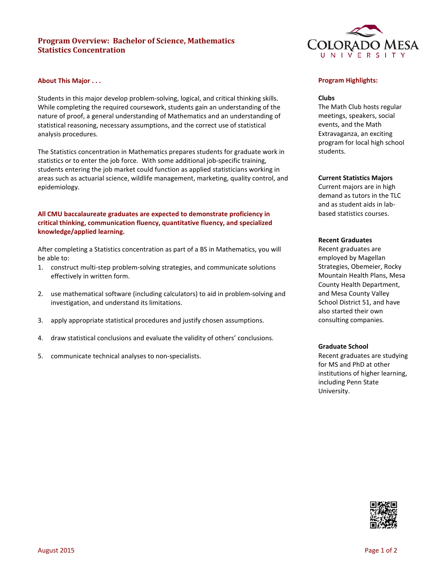# **Program Overview: Bachelor of Science, Mathematics Statistics Concentration**

### **About This Major . . .**

Students in this major develop problem-solving, logical, and critical thinking skills. While completing the required coursework, students gain an understanding of the nature of proof, a general understanding of Mathematics and an understanding of statistical reasoning, necessary assumptions, and the correct use of statistical analysis procedures.

The Statistics concentration in Mathematics prepares students for graduate work in statistics or to enter the job force. With some additional job-specific training, students entering the job market could function as applied statisticians working in areas such as actuarial science, wildlife management, marketing, quality control, and epidemiology.

## **All CMU baccalaureate graduates are expected to demonstrate proficiency in critical thinking, communication fluency, quantitative fluency, and specialized knowledge/applied learning.**

After completing a Statistics concentration as part of a BS in Mathematics, you will be able to:

- 1. construct multi-step problem-solving strategies, and communicate solutions effectively in written form.
- 2. use mathematical software (including calculators) to aid in problem-solving and investigation, and understand its limitations.
- 3. apply appropriate statistical procedures and justify chosen assumptions.
- 4. draw statistical conclusions and evaluate the validity of others' conclusions.
- 5. communicate technical analyses to non-specialists.



## **Program Highlights:**

#### **Clubs**

The Math Club hosts regular meetings, speakers, social events, and the Math Extravaganza, an exciting program for local high school students.

#### **Current Statistics Majors**

Current majors are in high demand as tutors in the TLC and as student aids in labbased statistics courses.

## **Recent Graduates**

Recent graduates are employed by Magellan Strategies, Obemeier, Rocky Mountain Health Plans, Mesa County Health Department, and Mesa County Valley School District 51, and have also started their own consulting companies.

### **Graduate School**

Recent graduates are studying for MS and PhD at other institutions of higher learning, including Penn State University.